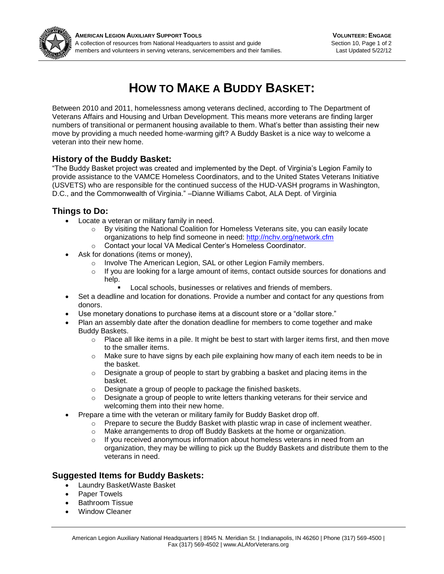

# **HOW TO MAKE A BUDDY BASKET:**

Between 2010 and 2011, homelessness among veterans declined, according to The Department of Veterans Affairs and Housing and Urban Development. This means more veterans are finding larger numbers of transitional or permanent housing available to them. What's better than assisting their new move by providing a much needed home-warming gift? A Buddy Basket is a nice way to welcome a veteran into their new home.

## **History of the Buddy Basket:**

"The Buddy Basket project was created and implemented by the Dept. of Virginia's Legion Family to provide assistance to the VAMCE Homeless Coordinators, and to the United States Veterans Initiative (USVETS) who are responsible for the continued success of the HUD-VASH programs in Washington, D.C., and the Commonwealth of Virginia." –Dianne Williams Cabot, ALA Dept. of Virginia

# **Things to Do:**

- Locate a veteran or military family in need.
	- $\circ$  By visiting the National Coalition for Homeless Veterans site, you can easily locate organizations to help find someone in need:<http://nchv.org/network.cfm>
	- o Contact your local VA Medical Center's Homeless Coordinator.
- Ask for donations (items or money),
	- o Involve The American Legion, SAL or other Legion Family members.
	- o If you are looking for a large amount of items, contact outside sources for donations and help.
		- Local schools, businesses or relatives and friends of members.
- Set a deadline and location for donations. Provide a number and contact for any questions from donors.
- Use monetary donations to purchase items at a discount store or a "dollar store."
- Plan an assembly date after the donation deadline for members to come together and make Buddy Baskets.
	- $\circ$  Place all like items in a pile. It might be best to start with larger items first, and then move to the smaller items.
	- $\circ$  Make sure to have signs by each pile explaining how many of each item needs to be in the basket.
	- $\circ$  Designate a group of people to start by grabbing a basket and placing items in the basket.
	- o Designate a group of people to package the finished baskets.
	- $\circ$  Designate a group of people to write letters thanking veterans for their service and welcoming them into their new home.
- Prepare a time with the veteran or military family for Buddy Basket drop off.
	- o Prepare to secure the Buddy Basket with plastic wrap in case of inclement weather.<br>
	o Make arrangements to drop off Buddy Baskets at the home or organization
	- Make arrangements to drop off Buddy Baskets at the home or organization.
	- $\circ$  If you received anonymous information about homeless veterans in need from an organization, they may be willing to pick up the Buddy Baskets and distribute them to the veterans in need.

## **Suggested Items for Buddy Baskets:**

- Laundry Basket/Waste Basket
- Paper Towels
- Bathroom Tissue
- Window Cleaner